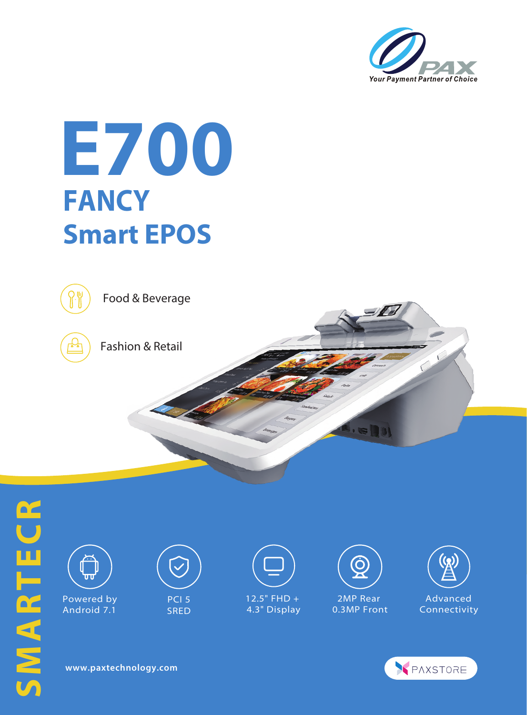

## **E700 FANCY Smart EPOS**



Food & Beverage



Fashion & Retail



**www.paxtechnology.com**

PAXSTORE

 $\mathbf{0}$  (  $\mathbf{0}$   $\mathbf{0}$